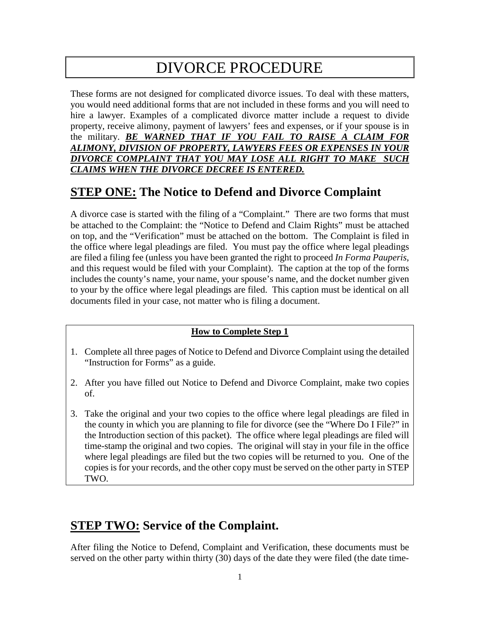# DIVORCE PROCEDURE

These forms are not designed for complicated divorce issues. To deal with these matters, you would need additional forms that are not included in these forms and you will need to hire a lawyer. Examples of a complicated divorce matter include a request to divide property, receive alimony, payment of lawyers' fees and expenses, or if your spouse is in the military. *BE WARNED THAT IF YOU FAIL TO RAISE A CLAIM FOR ALIMONY, DIVISION OF PROPERTY, LAWYERS FEES OR EXPENSES IN YOUR DIVORCE COMPLAINT THAT YOU MAY LOSE ALL RIGHT TO MAKE SUCH CLAIMS WHEN THE DIVORCE DECREE IS ENTERED.* 

### **STEP ONE: The Notice to Defend and Divorce Complaint**

A divorce case is started with the filing of a "Complaint." There are two forms that must be attached to the Complaint: the "Notice to Defend and Claim Rights" must be attached on top, and the "Verification" must be attached on the bottom. The Complaint is filed in the office where legal pleadings are filed. You must pay the office where legal pleadings are filed a filing fee (unless you have been granted the right to proceed *In Forma Pauperis*, and this request would be filed with your Complaint). The caption at the top of the forms includes the county's name, your name, your spouse's name, and the docket number given to your by the office where legal pleadings are filed. This caption must be identical on all documents filed in your case, not matter who is filing a document.

#### **How to Complete Step 1**

- 1. Complete all three pages of Notice to Defend and Divorce Complaint using the detailed "Instruction for Forms" as a guide.
- 2. After you have filled out Notice to Defend and Divorce Complaint, make two copies of.
- 3. Take the original and your two copies to the office where legal pleadings are filed in the county in which you are planning to file for divorce (see the "Where Do I File?" in the Introduction section of this packet). The office where legal pleadings are filed will time-stamp the original and two copies. The original will stay in your file in the office where legal pleadings are filed but the two copies will be returned to you. One of the copies is for your records, and the other copy must be served on the other party in STEP TWO.

#### **STEP TWO: Service of the Complaint.**

After filing the Notice to Defend, Complaint and Verification, these documents must be served on the other party within thirty (30) days of the date they were filed (the date time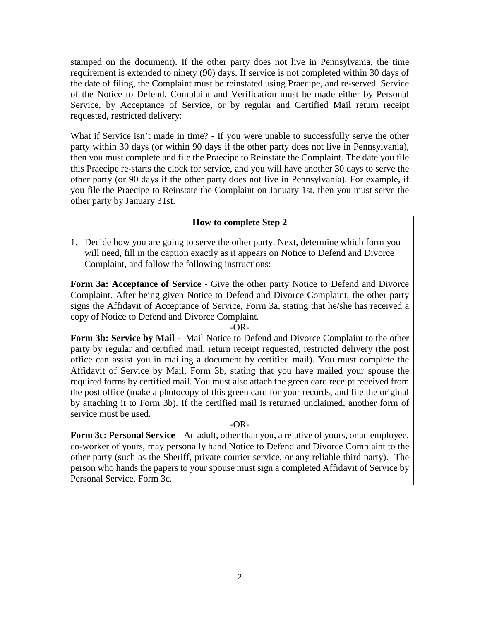stamped on the document). If the other party does not live in Pennsylvania, the time requirement is extended to ninety (90) days. If service is not completed within 30 days of the date of filing, the Complaint must be reinstated using Praecipe, and re-served. Service of the Notice to Defend, Complaint and Verification must be made either by Personal Service, by Acceptance of Service, or by regular and Certified Mail return receipt requested, restricted delivery:

What if Service isn't made in time? - If you were unable to successfully serve the other party within 30 days (or within 90 days if the other party does not live in Pennsylvania), then you must complete and file the Praecipe to Reinstate the Complaint. The date you file this Praecipe re-starts the clock for service, and you will have another 30 days to serve the other party (or 90 days if the other party does not live in Pennsylvania). For example, if you file the Praecipe to Reinstate the Complaint on January 1st, then you must serve the other party by January 31st.

#### **How to complete Step 2**

1. Decide how you are going to serve the other party. Next, determine which form you will need, fill in the caption exactly as it appears on Notice to Defend and Divorce Complaint, and follow the following instructions:

Form 3a: Acceptance of Service - Give the other party Notice to Defend and Divorce Complaint. After being given Notice to Defend and Divorce Complaint, the other party signs the Affidavit of Acceptance of Service, Form 3a, stating that he/she has received a copy of Notice to Defend and Divorce Complaint.

#### -OR-

**Form 3b: Service by Mail -** Mail Notice to Defend and Divorce Complaint to the other party by regular and certified mail, return receipt requested, restricted delivery (the post office can assist you in mailing a document by certified mail). You must complete the Affidavit of Service by Mail, Form 3b, stating that you have mailed your spouse the required forms by certified mail. You must also attach the green card receipt received from the post office (make a photocopy of this green card for your records, and file the original by attaching it to Form 3b). If the certified mail is returned unclaimed, another form of service must be used.

#### $-OR$

**Form 3c: Personal Service** – An adult, other than you, a relative of yours, or an employee, co-worker of yours, may personally hand Notice to Defend and Divorce Complaint to the other party (such as the Sheriff, private courier service, or any reliable third party). The person who hands the papers to your spouse must sign a completed Affidavit of Service by Personal Service, Form 3c.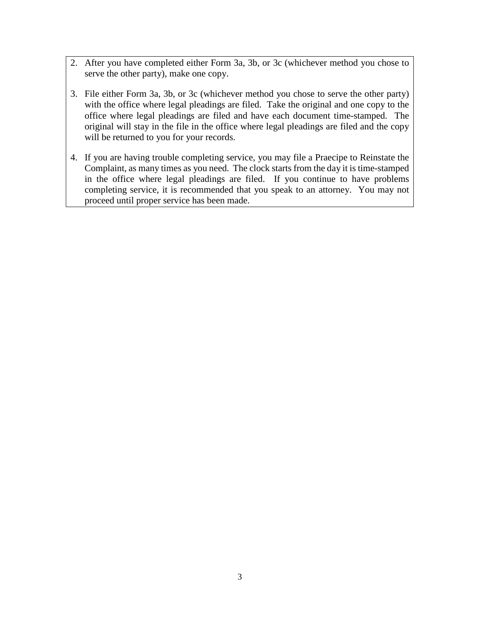- 2. After you have completed either Form 3a, 3b, or 3c (whichever method you chose to serve the other party), make one copy.
- 3. File either Form 3a, 3b, or 3c (whichever method you chose to serve the other party) with the office where legal pleadings are filed. Take the original and one copy to the office where legal pleadings are filed and have each document time-stamped. The original will stay in the file in the office where legal pleadings are filed and the copy will be returned to you for your records.
- 4. If you are having trouble completing service, you may file a Praecipe to Reinstate the Complaint, as many times as you need. The clock starts from the day it is time-stamped in the office where legal pleadings are filed. If you continue to have problems completing service, it is recommended that you speak to an attorney. You may not proceed until proper service has been made.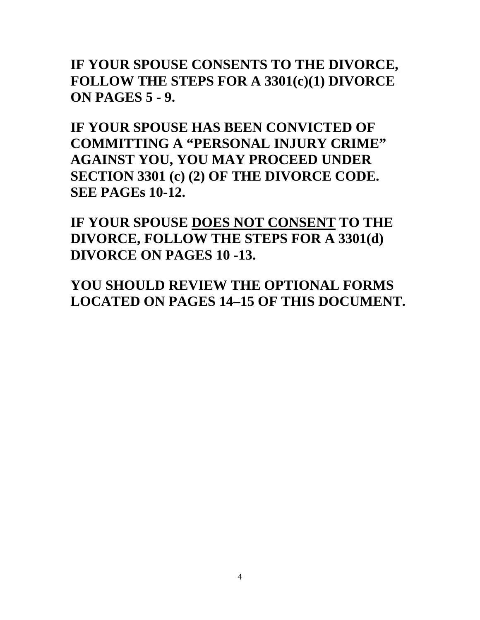**IF YOUR SPOUSE CONSENTS TO THE DIVORCE, FOLLOW THE STEPS FOR A 3301(c)(1) DIVORCE ON PAGES 5 - 9.**

**IF YOUR SPOUSE HAS BEEN CONVICTED OF COMMITTING A "PERSONAL INJURY CRIME" AGAINST YOU, YOU MAY PROCEED UNDER SECTION 3301 (c) (2) OF THE DIVORCE CODE. SEE PAGEs 10-12.**

**IF YOUR SPOUSE DOES NOT CONSENT TO THE DIVORCE, FOLLOW THE STEPS FOR A 3301(d) DIVORCE ON PAGES 10 -13.**

**YOU SHOULD REVIEW THE OPTIONAL FORMS LOCATED ON PAGES 14–15 OF THIS DOCUMENT.**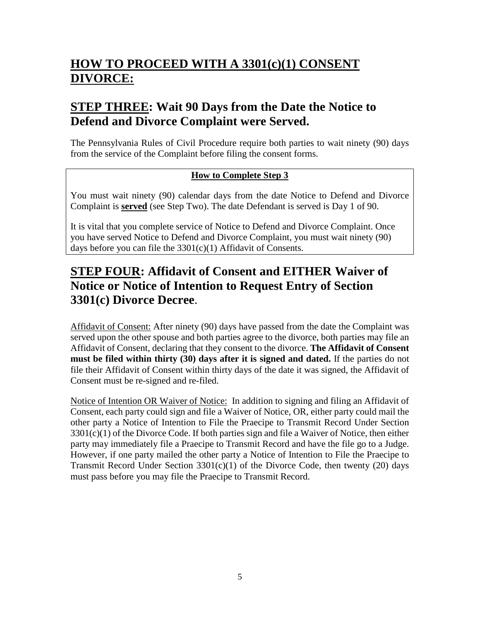## **HOW TO PROCEED WITH A 3301(c)(1) CONSENT DIVORCE:**

### **STEP THREE: Wait 90 Days from the Date the Notice to Defend and Divorce Complaint were Served.**

The Pennsylvania Rules of Civil Procedure require both parties to wait ninety (90) days from the service of the Complaint before filing the consent forms.

#### **How to Complete Step 3**

You must wait ninety (90) calendar days from the date Notice to Defend and Divorce Complaint is **served** (see Step Two). The date Defendant is served is Day 1 of 90.

It is vital that you complete service of Notice to Defend and Divorce Complaint. Once you have served Notice to Defend and Divorce Complaint, you must wait ninety (90) days before you can file the 3301(c)(1) Affidavit of Consents.

### **STEP FOUR: Affidavit of Consent and EITHER Waiver of Notice or Notice of Intention to Request Entry of Section 3301(c) Divorce Decree**.

Affidavit of Consent: After ninety (90) days have passed from the date the Complaint was served upon the other spouse and both parties agree to the divorce, both parties may file an Affidavit of Consent, declaring that they consent to the divorce. **The Affidavit of Consent must be filed within thirty (30) days after it is signed and dated.** If the parties do not file their Affidavit of Consent within thirty days of the date it was signed, the Affidavit of Consent must be re-signed and re-filed.

Notice of Intention OR Waiver of Notice: In addition to signing and filing an Affidavit of Consent, each party could sign and file a Waiver of Notice, OR, either party could mail the other party a Notice of Intention to File the Praecipe to Transmit Record Under Section  $3301(c)(1)$  of the Divorce Code. If both parties sign and file a Waiver of Notice, then either party may immediately file a Praecipe to Transmit Record and have the file go to a Judge. However, if one party mailed the other party a Notice of Intention to File the Praecipe to Transmit Record Under Section  $3301(c)(1)$  of the Divorce Code, then twenty (20) days must pass before you may file the Praecipe to Transmit Record.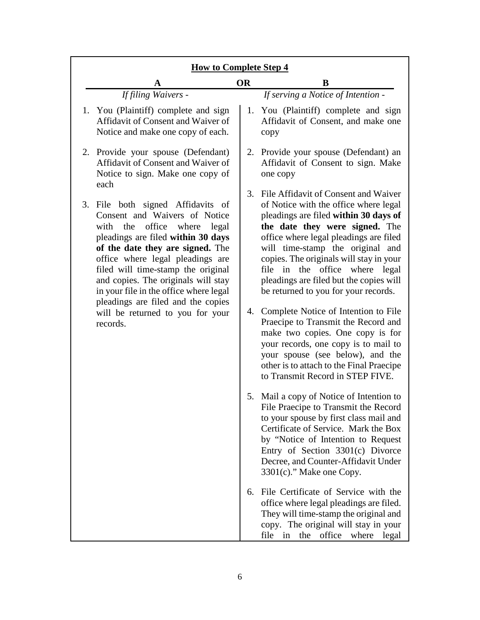| <b>How to Complete Step 4</b>                                                                                                                                                                                                                                                                                                                                                   |           |                                                                                                                                                                                                                                                                                                                                                                                                        |  |
|---------------------------------------------------------------------------------------------------------------------------------------------------------------------------------------------------------------------------------------------------------------------------------------------------------------------------------------------------------------------------------|-----------|--------------------------------------------------------------------------------------------------------------------------------------------------------------------------------------------------------------------------------------------------------------------------------------------------------------------------------------------------------------------------------------------------------|--|
|                                                                                                                                                                                                                                                                                                                                                                                 | <b>OR</b> | B                                                                                                                                                                                                                                                                                                                                                                                                      |  |
| If filing Waivers -                                                                                                                                                                                                                                                                                                                                                             |           | If serving a Notice of Intention -                                                                                                                                                                                                                                                                                                                                                                     |  |
| 1. You (Plaintiff) complete and sign<br>Affidavit of Consent and Waiver of<br>Notice and make one copy of each.                                                                                                                                                                                                                                                                 |           | 1. You (Plaintiff) complete and sign<br>Affidavit of Consent, and make one<br>copy                                                                                                                                                                                                                                                                                                                     |  |
| 2. Provide your spouse (Defendant)<br>Affidavit of Consent and Waiver of<br>Notice to sign. Make one copy of<br>each                                                                                                                                                                                                                                                            |           | 2. Provide your spouse (Defendant) an<br>Affidavit of Consent to sign. Make<br>one copy                                                                                                                                                                                                                                                                                                                |  |
| 3. File both signed Affidavits of<br>Consent and Waivers of Notice<br>with the office<br>where legal<br>pleadings are filed within 30 days<br>of the date they are signed. The<br>office where legal pleadings are<br>filed will time-stamp the original<br>and copies. The originals will stay<br>in your file in the office where legal<br>pleadings are filed and the copies | 3.        | File Affidavit of Consent and Waiver<br>of Notice with the office where legal<br>pleadings are filed within 30 days of<br>the date they were signed. The<br>office where legal pleadings are filed<br>will time-stamp the original and<br>copies. The originals will stay in your<br>file in the office where legal<br>pleadings are filed but the copies will<br>be returned to you for your records. |  |
| will be returned to you for your<br>records.                                                                                                                                                                                                                                                                                                                                    |           | 4. Complete Notice of Intention to File<br>Praecipe to Transmit the Record and<br>make two copies. One copy is for<br>your records, one copy is to mail to<br>your spouse (see below), and the<br>other is to attach to the Final Praecipe<br>to Transmit Record in STEP FIVE.                                                                                                                         |  |
|                                                                                                                                                                                                                                                                                                                                                                                 |           | 5. Mail a copy of Notice of Intention to<br>File Praecipe to Transmit the Record<br>to your spouse by first class mail and<br>Certificate of Service. Mark the Box<br>by "Notice of Intention to Request<br>Entry of Section 3301(c) Divorce<br>Decree, and Counter-Affidavit Under<br>$3301(c)$ ." Make one Copy.                                                                                     |  |
|                                                                                                                                                                                                                                                                                                                                                                                 | 6.        | File Certificate of Service with the<br>office where legal pleadings are filed.<br>They will time-stamp the original and<br>copy. The original will stay in your<br>the office where<br>file in<br>legal                                                                                                                                                                                               |  |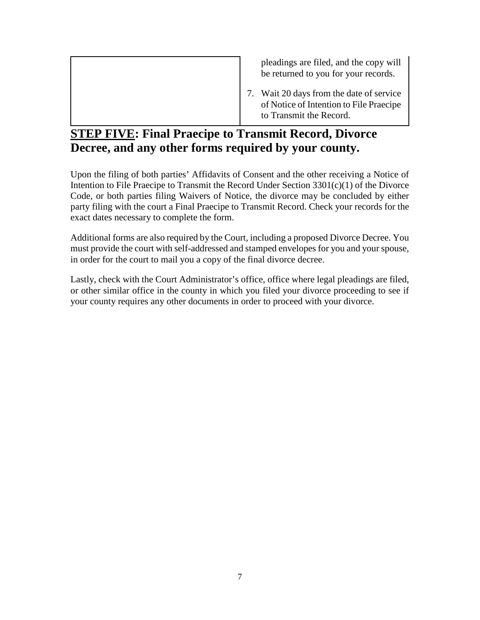| pleadings are filed, and the copy will<br>be returned to you for your records.                                 |
|----------------------------------------------------------------------------------------------------------------|
| 7. Wait 20 days from the date of service<br>of Notice of Intention to File Praecipe<br>to Transmit the Record. |

### **STEP FIVE: Final Praecipe to Transmit Record, Divorce Decree, and any other forms required by your county.**

Upon the filing of both parties' Affidavits of Consent and the other receiving a Notice of Intention to File Praecipe to Transmit the Record Under Section 3301(c)(1) of the Divorce Code, or both parties filing Waivers of Notice, the divorce may be concluded by either party filing with the court a Final Praecipe to Transmit Record. Check your records for the exact dates necessary to complete the form.

Additional forms are also required by the Court, including a proposed Divorce Decree. You must provide the court with self-addressed and stamped envelopes for you and your spouse, in order for the court to mail you a copy of the final divorce decree.

Lastly, check with the Court Administrator's office, office where legal pleadings are filed, or other similar office in the county in which you filed your divorce proceeding to see if your county requires any other documents in order to proceed with your divorce.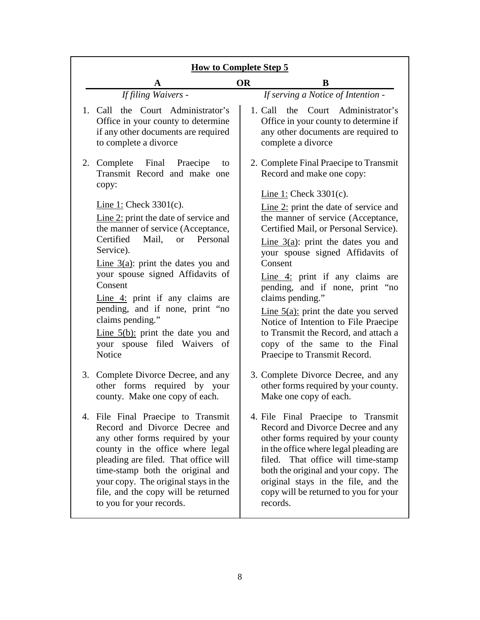| <b>How to Complete Step 5</b>                                                                                                                                                                                                                                                                                                      |                                                                                                                                                                                                                                                                                                                                    |  |  |  |
|------------------------------------------------------------------------------------------------------------------------------------------------------------------------------------------------------------------------------------------------------------------------------------------------------------------------------------|------------------------------------------------------------------------------------------------------------------------------------------------------------------------------------------------------------------------------------------------------------------------------------------------------------------------------------|--|--|--|
| A                                                                                                                                                                                                                                                                                                                                  | <b>OR</b><br>B                                                                                                                                                                                                                                                                                                                     |  |  |  |
| If filing Waivers -                                                                                                                                                                                                                                                                                                                | If serving a Notice of Intention -                                                                                                                                                                                                                                                                                                 |  |  |  |
| 1. Call the Court Administrator's<br>Office in your county to determine<br>if any other documents are required<br>to complete a divorce                                                                                                                                                                                            | the Court Administrator's<br>1. Call<br>Office in your county to determine if<br>any other documents are required to<br>complete a divorce                                                                                                                                                                                         |  |  |  |
| 2. Complete Final Praecipe<br>to<br>Transmit Record and make one<br>copy:                                                                                                                                                                                                                                                          | 2. Complete Final Praecipe to Transmit<br>Record and make one copy:                                                                                                                                                                                                                                                                |  |  |  |
|                                                                                                                                                                                                                                                                                                                                    | Line 1: Check $3301(c)$ .                                                                                                                                                                                                                                                                                                          |  |  |  |
| Line 1: Check $3301(c)$ .<br>Line $2$ : print the date of service and<br>the manner of service (Acceptance,<br>Certified<br>Mail, or<br>Personal<br>Service).                                                                                                                                                                      | Line $2$ : print the date of service and<br>the manner of service (Acceptance,<br>Certified Mail, or Personal Service).<br>Line $3(a)$ : print the dates you and                                                                                                                                                                   |  |  |  |
| Line $3(a)$ : print the dates you and                                                                                                                                                                                                                                                                                              | your spouse signed Affidavits of<br>Consent                                                                                                                                                                                                                                                                                        |  |  |  |
| your spouse signed Affidavits of<br>Consent<br>Line $4$ : print if any claims are                                                                                                                                                                                                                                                  | Line $4$ : print if any claims are<br>pending, and if none, print "no<br>claims pending."                                                                                                                                                                                                                                          |  |  |  |
| pending, and if none, print "no<br>claims pending."                                                                                                                                                                                                                                                                                | Line $5(a)$ : print the date you served<br>Notice of Intention to File Praecipe                                                                                                                                                                                                                                                    |  |  |  |
| Line $5(b)$ : print the date you and<br>your spouse filed Waivers<br>of<br><b>Notice</b>                                                                                                                                                                                                                                           | to Transmit the Record, and attach a<br>copy of the same to the Final<br>Praecipe to Transmit Record.                                                                                                                                                                                                                              |  |  |  |
| 3. Complete Divorce Decree, and any<br>other forms required by your<br>county. Make one copy of each.                                                                                                                                                                                                                              | 3. Complete Divorce Decree, and any<br>other forms required by your county.<br>Make one copy of each.                                                                                                                                                                                                                              |  |  |  |
| 4. File Final Praecipe to Transmit<br>Record and Divorce Decree and<br>any other forms required by your<br>county in the office where legal<br>pleading are filed. That office will<br>time-stamp both the original and<br>your copy. The original stays in the<br>file, and the copy will be returned<br>to you for your records. | 4. File Final Praecipe to Transmit<br>Record and Divorce Decree and any<br>other forms required by your county<br>in the office where legal pleading are<br>filed. That office will time-stamp<br>both the original and your copy. The<br>original stays in the file, and the<br>copy will be returned to you for your<br>records. |  |  |  |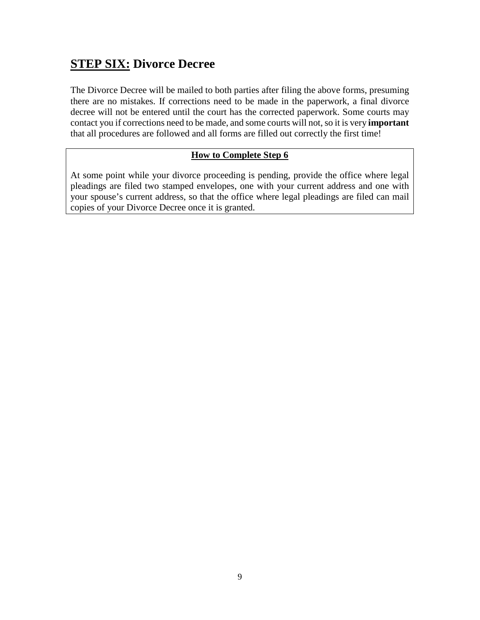### **STEP SIX: Divorce Decree**

The Divorce Decree will be mailed to both parties after filing the above forms, presuming there are no mistakes. If corrections need to be made in the paperwork, a final divorce decree will not be entered until the court has the corrected paperwork. Some courts may contact you if corrections need to be made, and some courts will not, so it is very **important** that all procedures are followed and all forms are filled out correctly the first time!

#### **How to Complete Step 6**

At some point while your divorce proceeding is pending, provide the office where legal pleadings are filed two stamped envelopes, one with your current address and one with your spouse's current address, so that the office where legal pleadings are filed can mail copies of your Divorce Decree once it is granted.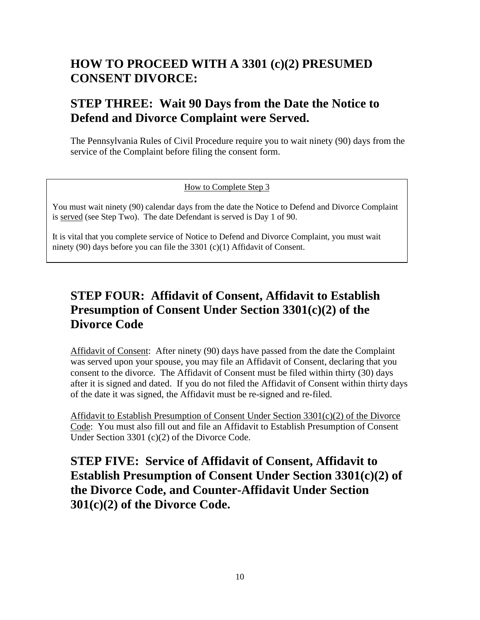### **HOW TO PROCEED WITH A 3301 (c)(2) PRESUMED CONSENT DIVORCE:**

### **STEP THREE: Wait 90 Days from the Date the Notice to Defend and Divorce Complaint were Served.**

The Pennsylvania Rules of Civil Procedure require you to wait ninety (90) days from the service of the Complaint before filing the consent form.

#### How to Complete Step 3

You must wait ninety (90) calendar days from the date the Notice to Defend and Divorce Complaint is served (see Step Two). The date Defendant is served is Day 1 of 90.

It is vital that you complete service of Notice to Defend and Divorce Complaint, you must wait ninety (90) days before you can file the 3301 (c)(1) Affidavit of Consent.

### **STEP FOUR: Affidavit of Consent, Affidavit to Establish Presumption of Consent Under Section 3301(c)(2) of the Divorce Code**

Affidavit of Consent: After ninety (90) days have passed from the date the Complaint was served upon your spouse, you may file an Affidavit of Consent, declaring that you consent to the divorce. The Affidavit of Consent must be filed within thirty (30) days after it is signed and dated. If you do not filed the Affidavit of Consent within thirty days of the date it was signed, the Affidavit must be re-signed and re-filed.

Affidavit to Establish Presumption of Consent Under Section 3301(c)(2) of the Divorce Code: You must also fill out and file an Affidavit to Establish Presumption of Consent Under Section 3301 (c)(2) of the Divorce Code.

**STEP FIVE: Service of Affidavit of Consent, Affidavit to Establish Presumption of Consent Under Section 3301(c)(2) of the Divorce Code, and Counter-Affidavit Under Section 301(c)(2) of the Divorce Code.**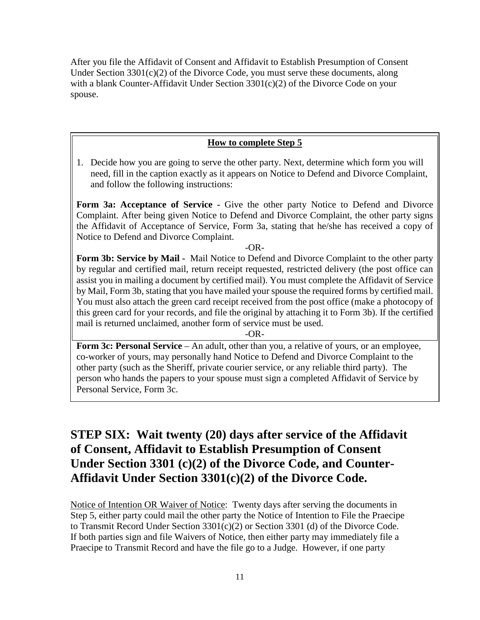After you file the Affidavit of Consent and Affidavit to Establish Presumption of Consent Under Section 3301(c)(2) of the Divorce Code, you must serve these documents, along with a blank Counter-Affidavit Under Section 3301(c)(2) of the Divorce Code on your spouse.

#### **How to complete Step 5**

1. Decide how you are going to serve the other party. Next, determine which form you will need, fill in the caption exactly as it appears on Notice to Defend and Divorce Complaint, and follow the following instructions:

Form 3a: Acceptance of Service - Give the other party Notice to Defend and Divorce Complaint. After being given Notice to Defend and Divorce Complaint, the other party signs the Affidavit of Acceptance of Service, Form 3a, stating that he/she has received a copy of Notice to Defend and Divorce Complaint.

-OR-

**Form 3b: Service by Mail -** Mail Notice to Defend and Divorce Complaint to the other party by regular and certified mail, return receipt requested, restricted delivery (the post office can assist you in mailing a document by certified mail). You must complete the Affidavit of Service by Mail, Form 3b, stating that you have mailed your spouse the required forms by certified mail. You must also attach the green card receipt received from the post office (make a photocopy of this green card for your records, and file the original by attaching it to Form 3b). If the certified mail is returned unclaimed, another form of service must be used.

-OR-

**Form 3c: Personal Service** – An adult, other than you, a relative of yours, or an employee, co-worker of yours, may personally hand Notice to Defend and Divorce Complaint to the other party (such as the Sheriff, private courier service, or any reliable third party). The person who hands the papers to your spouse must sign a completed Affidavit of Service by Personal Service, Form 3c.

### **STEP SIX: Wait twenty (20) days after service of the Affidavit of Consent, Affidavit to Establish Presumption of Consent Under Section 3301 (c)(2) of the Divorce Code, and Counter-Affidavit Under Section 3301(c)(2) of the Divorce Code.**

Notice of Intention OR Waiver of Notice: Twenty days after serving the documents in Step 5, either party could mail the other party the Notice of Intention to File the Praecipe to Transmit Record Under Section 3301(c)(2) or Section 3301 (d) of the Divorce Code. If both parties sign and file Waivers of Notice, then either party may immediately file a Praecipe to Transmit Record and have the file go to a Judge. However, if one party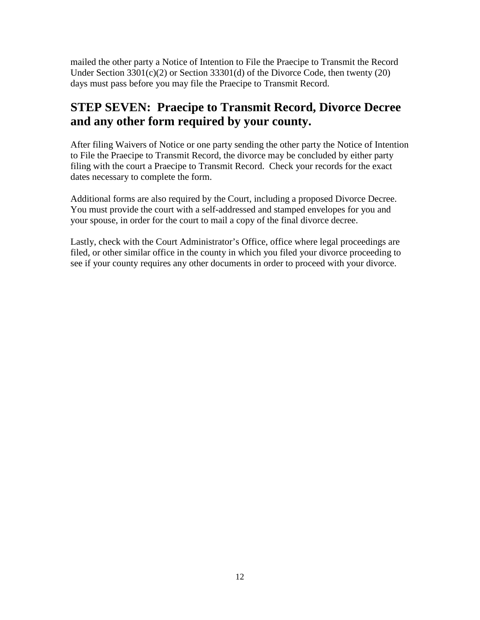mailed the other party a Notice of Intention to File the Praecipe to Transmit the Record Under Section 3301(c)(2) or Section 33301(d) of the Divorce Code, then twenty (20) days must pass before you may file the Praecipe to Transmit Record.

### **STEP SEVEN: Praecipe to Transmit Record, Divorce Decree and any other form required by your county.**

After filing Waivers of Notice or one party sending the other party the Notice of Intention to File the Praecipe to Transmit Record, the divorce may be concluded by either party filing with the court a Praecipe to Transmit Record. Check your records for the exact dates necessary to complete the form.

Additional forms are also required by the Court, including a proposed Divorce Decree. You must provide the court with a self-addressed and stamped envelopes for you and your spouse, in order for the court to mail a copy of the final divorce decree.

Lastly, check with the Court Administrator's Office, office where legal proceedings are filed, or other similar office in the county in which you filed your divorce proceeding to see if your county requires any other documents in order to proceed with your divorce.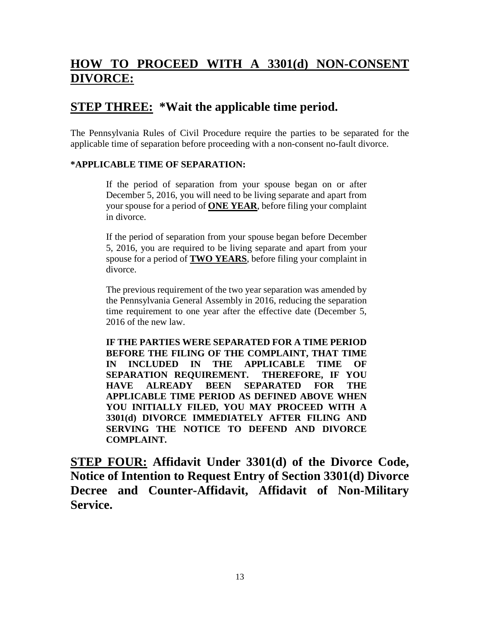### **HOW TO PROCEED WITH A 3301(d) NON-CONSENT DIVORCE:**

### **STEP THREE: \*Wait the applicable time period.**

The Pennsylvania Rules of Civil Procedure require the parties to be separated for the applicable time of separation before proceeding with a non-consent no-fault divorce.

#### **\*APPLICABLE TIME OF SEPARATION:**

If the period of separation from your spouse began on or after December 5, 2016, you will need to be living separate and apart from your spouse for a period of **ONE YEAR**, before filing your complaint in divorce.

If the period of separation from your spouse began before December 5, 2016, you are required to be living separate and apart from your spouse for a period of **TWO YEARS**, before filing your complaint in divorce.

The previous requirement of the two year separation was amended by the Pennsylvania General Assembly in 2016, reducing the separation time requirement to one year after the effective date (December 5, 2016 of the new law.

**IF THE PARTIES WERE SEPARATED FOR A TIME PERIOD BEFORE THE FILING OF THE COMPLAINT, THAT TIME IN INCLUDED IN THE APPLICABLE TIME OF SEPARATION REQUIREMENT. THEREFORE, IF YOU HAVE ALREADY BEEN SEPARATED FOR THE APPLICABLE TIME PERIOD AS DEFINED ABOVE WHEN YOU INITIALLY FILED, YOU MAY PROCEED WITH A 3301(d) DIVORCE IMMEDIATELY AFTER FILING AND SERVING THE NOTICE TO DEFEND AND DIVORCE COMPLAINT.**

**STEP FOUR: Affidavit Under 3301(d) of the Divorce Code, Notice of Intention to Request Entry of Section 3301(d) Divorce Decree and Counter-Affidavit, Affidavit of Non-Military Service.**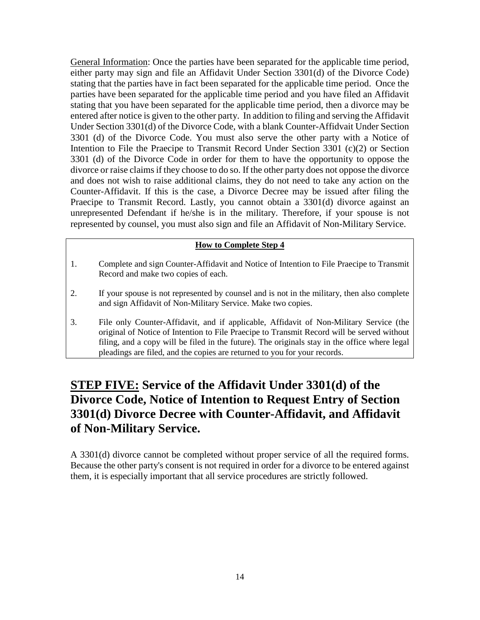General Information: Once the parties have been separated for the applicable time period, either party may sign and file an Affidavit Under Section 3301(d) of the Divorce Code) stating that the parties have in fact been separated for the applicable time period. Once the parties have been separated for the applicable time period and you have filed an Affidavit stating that you have been separated for the applicable time period, then a divorce may be entered after notice is given to the other party. In addition to filing and serving the Affidavit Under Section 3301(d) of the Divorce Code, with a blank Counter-Affidvait Under Section 3301 (d) of the Divorce Code. You must also serve the other party with a Notice of Intention to File the Praecipe to Transmit Record Under Section 3301 (c)(2) or Section 3301 (d) of the Divorce Code in order for them to have the opportunity to oppose the divorce or raise claims if they choose to do so. If the other party does not oppose the divorce and does not wish to raise additional claims, they do not need to take any action on the Counter-Affidavit. If this is the case, a Divorce Decree may be issued after filing the Praecipe to Transmit Record. Lastly, you cannot obtain a 3301(d) divorce against an unrepresented Defendant if he/she is in the military. Therefore, if your spouse is not represented by counsel, you must also sign and file an Affidavit of Non-Military Service.

#### **How to Complete Step 4**

- 1. Complete and sign Counter-Affidavit and Notice of Intention to File Praecipe to Transmit Record and make two copies of each.
- 2. If your spouse is not represented by counsel and is not in the military, then also complete and sign Affidavit of Non-Military Service. Make two copies.
- 3. File only Counter-Affidavit, and if applicable, Affidavit of Non-Military Service (the original of Notice of Intention to File Praecipe to Transmit Record will be served without filing, and a copy will be filed in the future). The originals stay in the office where legal pleadings are filed, and the copies are returned to you for your records.

### **STEP FIVE: Service of the Affidavit Under 3301(d) of the Divorce Code, Notice of Intention to Request Entry of Section 3301(d) Divorce Decree with Counter-Affidavit, and Affidavit of Non-Military Service.**

A 3301(d) divorce cannot be completed without proper service of all the required forms. Because the other party's consent is not required in order for a divorce to be entered against them, it is especially important that all service procedures are strictly followed.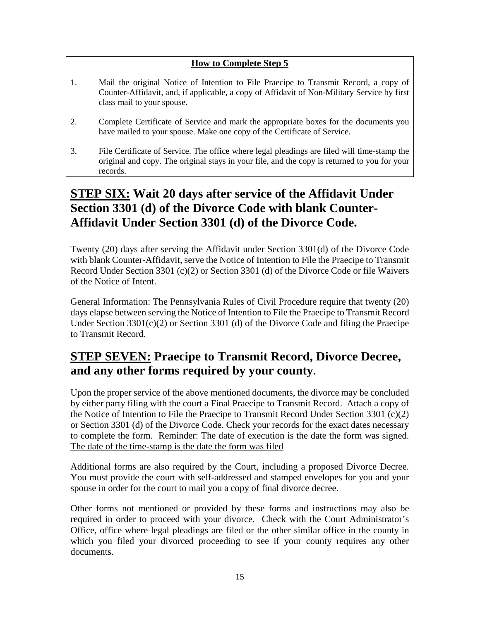#### **How to Complete Step 5**

- 1. Mail the original Notice of Intention to File Praecipe to Transmit Record, a copy of Counter-Affidavit, and, if applicable, a copy of Affidavit of Non-Military Service by first class mail to your spouse.
- 2. Complete Certificate of Service and mark the appropriate boxes for the documents you have mailed to your spouse. Make one copy of the Certificate of Service.
- 3. File Certificate of Service. The office where legal pleadings are filed will time-stamp the original and copy. The original stays in your file, and the copy is returned to you for your records.

### **STEP SIX: Wait 20 days after service of the Affidavit Under Section 3301 (d) of the Divorce Code with blank Counter-Affidavit Under Section 3301 (d) of the Divorce Code.**

Twenty (20) days after serving the Affidavit under Section 3301(d) of the Divorce Code with blank Counter-Affidavit, serve the Notice of Intention to File the Praecipe to Transmit Record Under Section 3301 (c)(2) or Section 3301 (d) of the Divorce Code or file Waivers of the Notice of Intent.

General Information: The Pennsylvania Rules of Civil Procedure require that twenty (20) days elapse between serving the Notice of Intention to File the Praecipe to Transmit Record Under Section 3301(c)(2) or Section 3301 (d) of the Divorce Code and filing the Praecipe to Transmit Record.

### **STEP SEVEN: Praecipe to Transmit Record, Divorce Decree, and any other forms required by your county.**

Upon the proper service of the above mentioned documents, the divorce may be concluded by either party filing with the court a Final Praecipe to Transmit Record. Attach a copy of the Notice of Intention to File the Praecipe to Transmit Record Under Section 3301 (c)(2) or Section 3301 (d) of the Divorce Code. Check your records for the exact dates necessary to complete the form. Reminder: The date of execution is the date the form was signed. The date of the time-stamp is the date the form was filed

Additional forms are also required by the Court, including a proposed Divorce Decree. You must provide the court with self-addressed and stamped envelopes for you and your spouse in order for the court to mail you a copy of final divorce decree.

Other forms not mentioned or provided by these forms and instructions may also be required in order to proceed with your divorce. Check with the Court Administrator's Office, office where legal pleadings are filed or the other similar office in the county in which you filed your divorced proceeding to see if your county requires any other documents.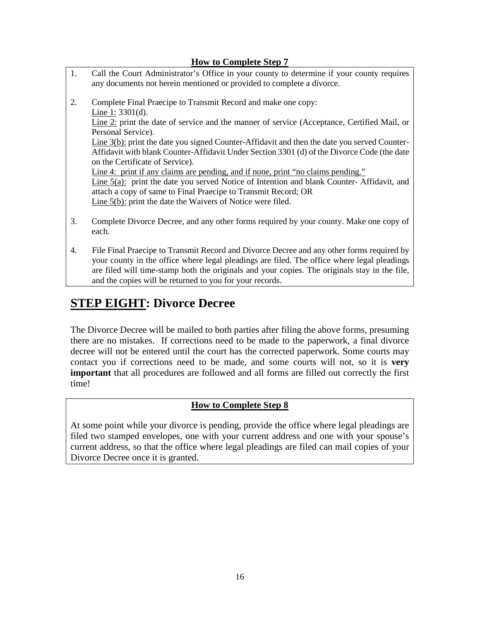#### **How to Complete Step 7**

- 1. Call the Court Administrator's Office in your county to determine if your county requires any documents not herein mentioned or provided to complete a divorce.
- 2. Complete Final Praecipe to Transmit Record and make one copy: Line 1: 3301(d). Line 2: print the date of service and the manner of service (Acceptance, Certified Mail, or Personal Service). Line 3(b): print the date you signed Counter-Affidavit and then the date you served Counter-Affidavit with blank Counter-Affidavit Under Section 3301 (d) of the Divorce Code (the date on the Certificate of Service). Line 4: print if any claims are pending, and if none, print "no claims pending." Line 5(a): print the date you served Notice of Intention and blank Counter- Affidavit, and attach a copy of same to Final Praecipe to Transmit Record; OR Line 5(b): print the date the Waivers of Notice were filed.
- 3. Complete Divorce Decree, and any other forms required by your county. Make one copy of each.
- 4. File Final Praecipe to Transmit Record and Divorce Decree and any other forms required by your county in the office where legal pleadings are filed. The office where legal pleadings are filed will time-stamp both the originals and your copies. The originals stay in the file, and the copies will be returned to you for your records.

### **STEP EIGHT: Divorce Decree**

The Divorce Decree will be mailed to both parties after filing the above forms, presuming there are no mistakes. If corrections need to be made to the paperwork, a final divorce decree will not be entered until the court has the corrected paperwork. Some courts may contact you if corrections need to be made, and some courts will not, so it is **very important** that all procedures are followed and all forms are filled out correctly the first time!

#### **How to Complete Step 8**

At some point while your divorce is pending, provide the office where legal pleadings are filed two stamped envelopes, one with your current address and one with your spouse's current address, so that the office where legal pleadings are filed can mail copies of your Divorce Decree once it is granted.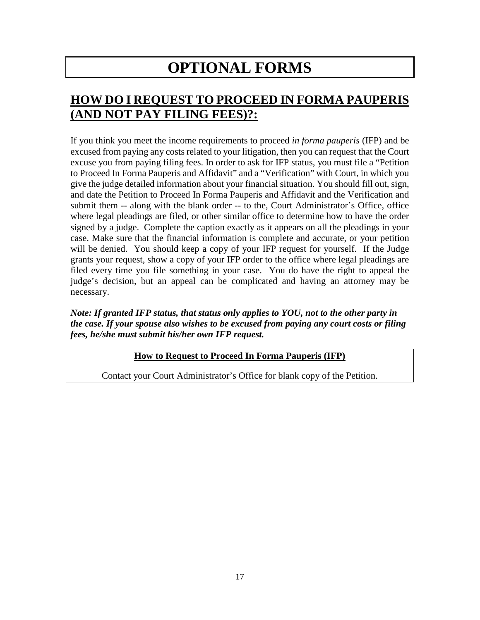# **OPTIONAL FORMS**

### **HOW DO I REQUEST TO PROCEED IN FORMA PAUPERIS (AND NOT PAY FILING FEES)?:**

If you think you meet the income requirements to proceed *in forma pauperis* (IFP) and be excused from paying any costs related to your litigation, then you can request that the Court excuse you from paying filing fees. In order to ask for IFP status, you must file a "Petition to Proceed In Forma Pauperis and Affidavit" and a "Verification" with Court, in which you give the judge detailed information about your financial situation. You should fill out, sign, and date the Petition to Proceed In Forma Pauperis and Affidavit and the Verification and submit them -- along with the blank order -- to the, Court Administrator's Office, office where legal pleadings are filed, or other similar office to determine how to have the order signed by a judge. Complete the caption exactly as it appears on all the pleadings in your case. Make sure that the financial information is complete and accurate, or your petition will be denied. You should keep a copy of your IFP request for yourself. If the Judge grants your request, show a copy of your IFP order to the office where legal pleadings are filed every time you file something in your case. You do have the right to appeal the judge's decision, but an appeal can be complicated and having an attorney may be necessary.

#### *Note: If granted IFP status, that status only applies to YOU, not to the other party in the case. If your spouse also wishes to be excused from paying any court costs or filing fees, he/she must submit his/her own IFP request.*

#### **How to Request to Proceed In Forma Pauperis (IFP)**

Contact your Court Administrator's Office for blank copy of the Petition.